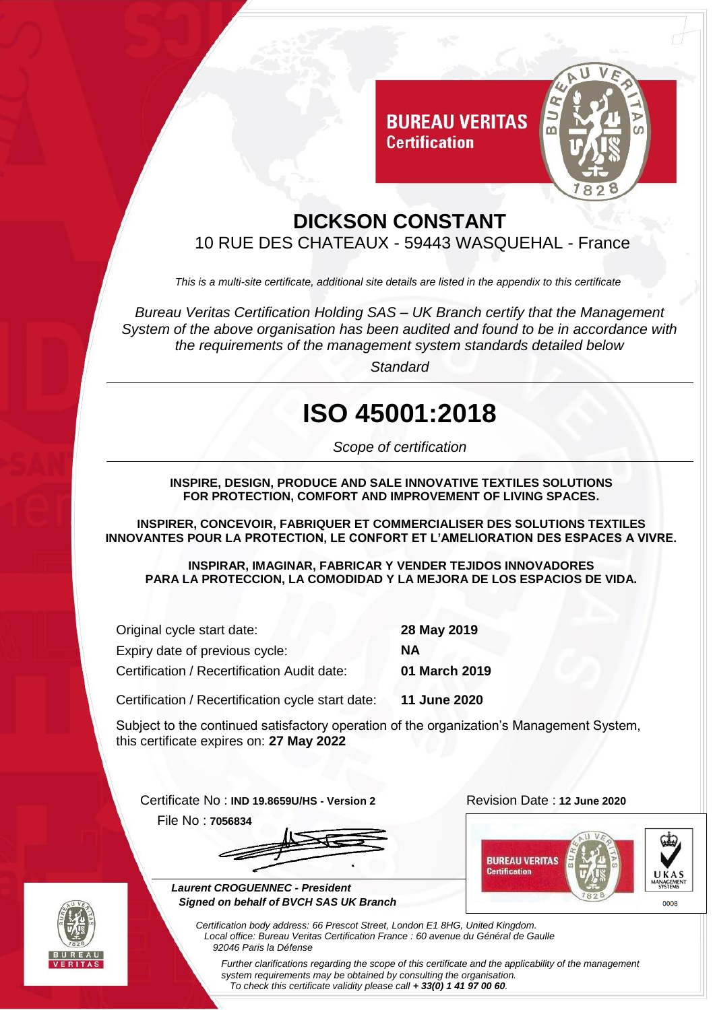

## **DICKSON CONSTANT** 10 RUE DES CHATEAUX - 59443 WASQUEHAL - France

**Certification** 

*This is a multi-site certificate, additional site details are listed in the appendix to this certificate*

*Bureau Veritas Certification Holding SAS – UK Branch certify that the Management System of the above organisation has been audited and found to be in accordance with the requirements of the management system standards detailed below*

*Standard*

## **ISO 45001:2018**

*Scope of certification*

**INSPIRE, DESIGN, PRODUCE AND SALE INNOVATIVE TEXTILES SOLUTIONS FOR PROTECTION, COMFORT AND IMPROVEMENT OF LIVING SPACES.**

**INSPIRER, CONCEVOIR, FABRIQUER ET COMMERCIALISER DES SOLUTIONS TEXTILES INNOVANTES POUR LA PROTECTION, LE CONFORT ET L'AMELIORATION DES ESPACES A VIVRE.**

**INSPIRAR, IMAGINAR, FABRICAR Y VENDER TEJIDOS INNOVADORES PARA LA PROTECCION, LA COMODIDAD Y LA MEJORA DE LOS ESPACIOS DE VIDA.**

| Original cycle start date:                        | 28 May 2019   |  |
|---------------------------------------------------|---------------|--|
| Expiry date of previous cycle:                    | NА            |  |
| Certification / Recertification Audit date:       | 01 March 2019 |  |
| Certification / Recertification cycle start date: | 11 June 2020  |  |

Subject to the continued satisfactory operation of the organization's Management System, this certificate expires on: **27 May 2022**

Certificate No : **IND 19.8659U/HS - Version 2** Revision Date : **12 June 2020**

File No : **7056834**







 $0008$ 



*Further clarifications regarding the scope of this certificate and the applicability of the management system requirements may be obtained by consulting the organisation. To check this certificate validity please call + 33(0) 1 41 97 00 60.*